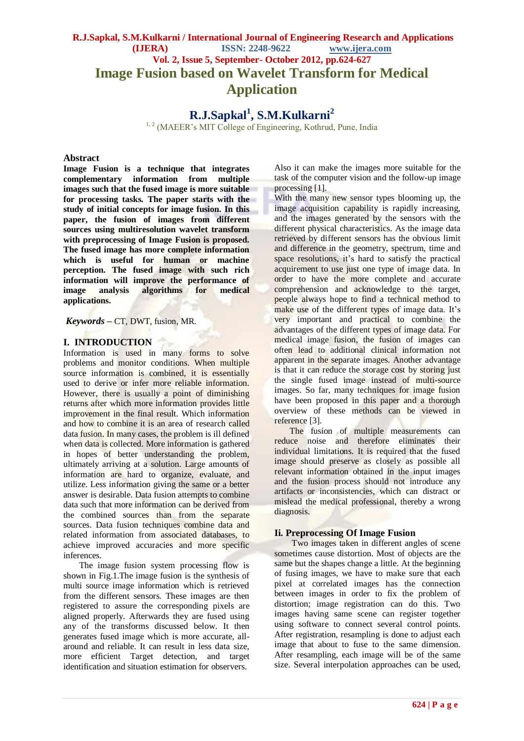# **R.J.Sapkal, S.M.Kulkarni / International Journal of Engineering Research and Applications (IJERA) ISSN: 2248-9622 www.ijera.com Vol. 2, Issue 5, September- October 2012, pp.624-627 Image Fusion based on Wavelet Transform for Medical Application**

**R.J.Sapkal<sup>1</sup> , S.M.Kulkarni<sup>2</sup>**

<sup>1, 2</sup> (MAEER's MIT College of Engineering, Kothrud, Pune, India

#### **Abstract**

**Image Fusion is a technique that integrates complementary information from multiple images such that the fused image is more suitable for processing tasks. The paper starts with the study of initial concepts for image fusion. In this paper, the fusion of images from different sources using multiresolution wavelet transform with preprocessing of Image Fusion is proposed. The fused image has more complete information which is useful for human or machine perception. The fused image with such rich information will improve the performance of image analysis algorithms for medical applications.**

*Keywords* **–** CT, DWT, fusion, MR*.*

### **I. INTRODUCTION**

Information is used in many forms to solve problems and monitor conditions. When multiple source information is combined, it is essentially used to derive or infer more reliable information. However, there is usually a point of diminishing returns after which more information provides little improvement in the final result. Which information and how to combine it is an area of research called data fusion. In many cases, the problem is ill defined when data is collected. More information is gathered in hopes of better understanding the problem, ultimately arriving at a solution. Large amounts of information are hard to organize, evaluate, and utilize. Less information giving the same or a better answer is desirable. Data fusion attempts to combine data such that more information can be derived from the combined sources than from the separate sources. Data fusion techniques combine data and related information from associated databases, to achieve improved accuracies and more specific inferences.

The image fusion system processing flow is shown in Fig.1.The image fusion is the synthesis of multi source image information which is retrieved from the different sensors. These images are then registered to assure the corresponding pixels are aligned properly. Afterwards they are fused using any of the transforms discussed below. It then generates fused image which is more accurate, allaround and reliable. It can result in less data size, more efficient Target detection, and target identification and situation estimation for observers.

Also it can make the images more suitable for the task of the computer vision and the follow-up image processing [1].

With the many new sensor types blooming up, the image acquisition capability is rapidly increasing, and the images generated by the sensors with the different physical characteristics. As the image data retrieved by different sensors has the obvious limit and difference in the geometry, spectrum, time and space resolutions, it's hard to satisfy the practical acquirement to use just one type of image data. In order to have the more complete and accurate comprehension and acknowledge to the target, people always hope to find a technical method to make use of the different types of image data. It's very important and practical to combine the advantages of the different types of image data. For medical image fusion, the fusion of images can often lead to additional clinical information not apparent in the separate images. Another advantage is that it can reduce the storage cost by storing just the single fused image instead of multi-source images. So far, many techniques for image fusion have been proposed in this paper and a thorough overview of these methods can be viewed in reference [3].

The fusion of multiple measurements can reduce noise and therefore eliminates their individual limitations. It is required that the fused image should preserve as closely as possible all relevant information obtained in the input images and the fusion process should not introduce any artifacts or inconsistencies, which can distract or mislead the medical professional, thereby a wrong diagnosis.

#### **Ii. Preprocessing Of Image Fusion**

 Two images taken in different angles of scene sometimes cause distortion. Most of objects are the same but the shapes change a little. At the beginning of fusing images, we have to make sure that each pixel at correlated images has the connection between images in order to fix the problem of distortion; image registration can do this. Two images having same scene can register together using software to connect several control points. After registration, resampling is done to adjust each image that about to fuse to the same dimension. After resampling, each image will be of the same size. Several interpolation approaches can be used,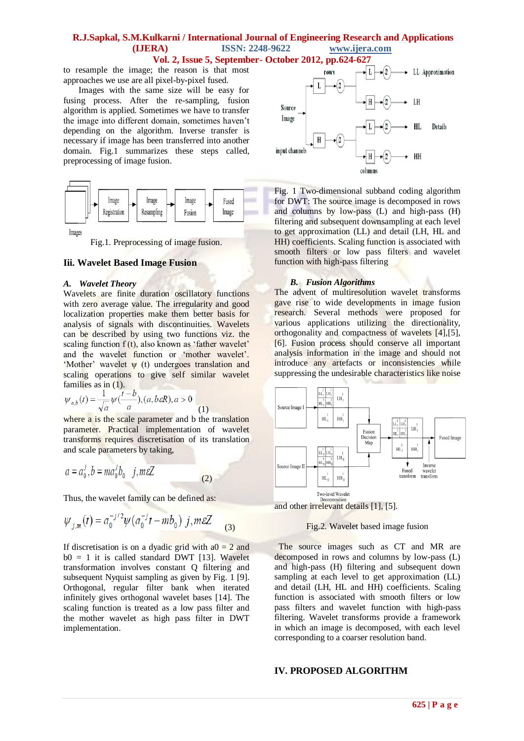### **R.J.Sapkal, S.M.Kulkarni / International Journal of Engineering Research and Applications (IJERA) ISSN: 2248-9622 www.ijera.com**

**Vol. 2, Issue 5, September- October 2012, pp.624-627**

to resample the image; the reason is that most approaches we use are all pixel-by-pixel fused.

 Images with the same size will be easy for fusing process. After the re-sampling, fusion algorithm is applied. Sometimes we have to transfer the image into different domain, sometimes haven"t depending on the algorithm. Inverse transfer is necessary if image has been transferred into another domain. Fig.1 summarizes these steps called, preprocessing of image fusion.



Fig.1. Preprocessing of image fusion.

#### **Iii. Wavelet Based Image Fusion**

#### *A. Wavelet Theory*

Wavelets are finite duration oscillatory functions with zero average value. The irregularity and good localization properties make them better basis for analysis of signals with discontinuities. Wavelets can be described by using two functions viz. the scaling function  $f(t)$ , also known as 'father wavelet' and the wavelet function or "mother wavelet". "Mother" wavelet ψ (t) undergoes translation and scaling operations to give self similar wavelet families as in (1).

$$
\psi_{a,b}(t) = \frac{1}{\sqrt{a}} \psi(\frac{t-b}{a}), (a, b \varepsilon R), a > 0
$$
\n(1)

where a is the scale parameter and b the translation parameter. Practical implementation of wavelet transforms requires discretisation of its translation and scale parameters by taking,

$$
a = a_0^j, b = ma_0^j b_0 \quad j, m \in \mathbb{Z}
$$
 (2)

Thus, the wavelet family can be defined as:

$$
\psi_{j,m}(t) = a_0^{-j/2} \psi(a_0^{-j}t - mb_0) j, m \varepsilon Z
$$
 (3)

If discretisation is on a dyadic grid with  $a0 = 2$  and  $b0 = 1$  it is called standard DWT [13]. Wavelet transformation involves constant Q filtering and subsequent Nyquist sampling as given by Fig. 1 [9]. Orthogonal, regular filter bank when iterated infinitely gives orthogonal wavelet bases [14]. The scaling function is treated as a low pass filter and the mother wavelet as high pass filter in DWT implementation.



Fig. 1 Two-dimensional subband coding algorithm for DWT: The source image is decomposed in rows and columns by low-pass (L) and high-pass (H) filtering and subsequent downsampling at each level to get approximation (LL) and detail (LH, HL and HH) coefficients. Scaling function is associated with smooth filters or low pass filters and wavelet function with high-pass filtering

#### *B. Fusion Algorithms*

The advent of multiresolution wavelet transforms gave rise to wide developments in image fusion research. Several methods were proposed for various applications utilizing the directionality, orthogonality and compactness of wavelets [4],[5], [6]. Fusion process should conserve all important analysis information in the image and should not introduce any artefacts or inconsistencies while suppressing the undesirable characteristics like noise



### Fig.2. Wavelet based image fusion

 The source images such as CT and MR are decomposed in rows and columns by low-pass (L) and high-pass (H) filtering and subsequent down sampling at each level to get approximation (LL) and detail (LH, HL and HH) coefficients. Scaling function is associated with smooth filters or low pass filters and wavelet function with high-pass filtering. Wavelet transforms provide a framework in which an image is decomposed, with each level corresponding to a coarser resolution band.

#### **IV. PROPOSED ALGORITHM**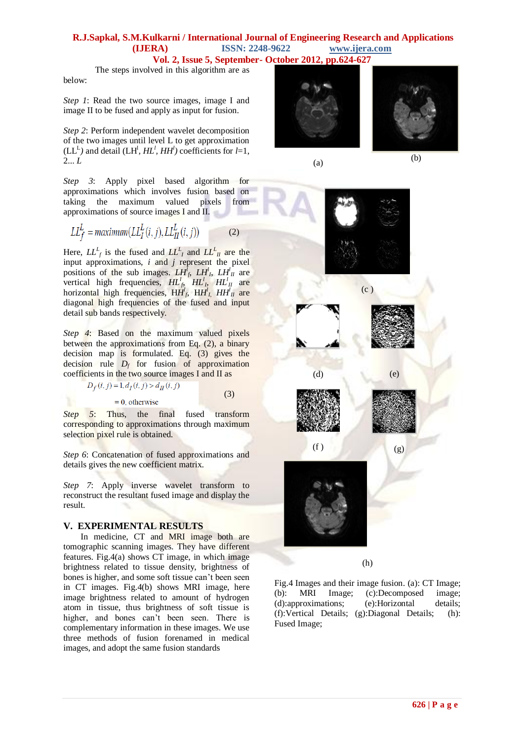## **R.J.Sapkal, S.M.Kulkarni / International Journal of Engineering Research and Applications (IJERA) ISSN: 2248-9622 www.ijera.com**

**Vol. 2, Issue 5, September- October 2012, pp.624-627**

The steps involved in this algorithm are as below:

*Step 1*: Read the two source images, image I and image II to be fused and apply as input for fusion.

*Step 2*: Perform independent wavelet decomposition of the two images until level L to get approximation  $(LL^L)$  and detail  $(LH^l, HL^l, HH^l)$  coefficients for  $l=1$ , 2... *L*

*Step 3*: Apply pixel based algorithm for approximations which involves fusion based on taking the maximum valued pixels from approximations of source images I and II.

$$
LL_f^L = \text{maximum}(LL_I^L(i, j), LL_{II}^L(i, j))
$$
 (2)

Here,  $LL_f^L$  is the fused and  $LL_f^L$  and  $LL_{II}^L$  are the input approximations, *i* and *j* represent the pixel positions of the sub images.  $LH_f^f$ ,  $LH_f^l$ ,  $LH_f^l$  are vertical high frequencies,  $H L_f^l$ ,  $H L_h^l$ ,  $H L_H^l$  are horizontal high frequencies,  $HH<sup>I</sup><sub>f</sub>$ ,  $HH<sup>I</sup><sub>I</sub>$ ,  $HH<sup>I</sup><sub>II</sub>$  are diagonal high frequencies of the fused and input detail sub bands respectively.

*Step 4*: Based on the maximum valued pixels between the approximations from Eq. (2), a binary decision map is formulated. Eq. (3) gives the decision rule  $D_f$  for fusion of approximation coefficients in the two source images I and II as

$$
D_f(i, j) = 1, d_I(i, j) > d_{II}(i, j)
$$
  
= 0, otherwise (3)

*Step* 5: Thus, the final fused transform corresponding to approximations through maximum selection pixel rule is obtained.

*Step 6*: Concatenation of fused approximations and details gives the new coefficient matrix.

*Step 7*: Apply inverse wavelet transform to reconstruct the resultant fused image and display the result.

#### **V. EXPERIMENTAL RESULTS**

In medicine, CT and MRI image both are tomographic scanning images. They have different features. Fig.4(a) shows CT image, in which image brightness related to tissue density, brightness of bones is higher, and some soft tissue can"t been seen in CT images. Fig.4(b) shows MRI image, here image brightness related to amount of hydrogen atom in tissue, thus brightness of soft tissue is higher, and bones can't been seen. There is complementary information in these images. We use three methods of fusion forenamed in medical images, and adopt the same fusion standards







(h)

Fig.4 Images and their image fusion. (a): CT Image; (b): MRI Image; (c):Decomposed image; (d):approximations; (e):Horizontal details; (f):Vertical Details; (g):Diagonal Details; (h): Fused Image;